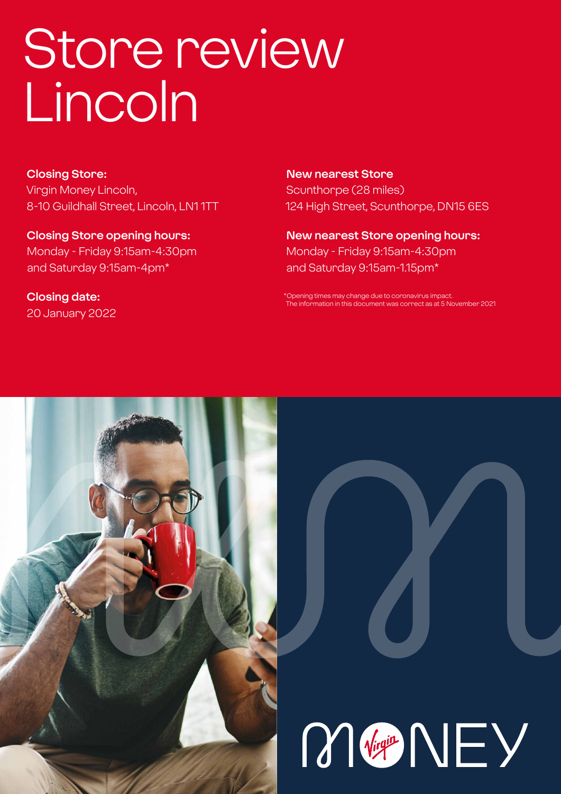# Store review Lincoln

**Closing Store:** Virgin Money Lincoln, 8-10 Guildhall Street, Lincoln, LN1 1TT

**Closing Store opening hours:**  Monday - Friday 9:15am-4:30pm and Saturday 9:15am-4pm\*

**Closing date:**  20 January 2022

**New nearest Store** Scunthorpe (28 miles) 124 High Street, Scunthorpe, DN15 6ES

**New nearest Store opening hours:** Monday - Friday 9:15am-4:30pm and Saturday 9:15am-1.15pm\*

\*Opening times may change due to coronavirus impact. The information in this document was correct as at 5 November 2021



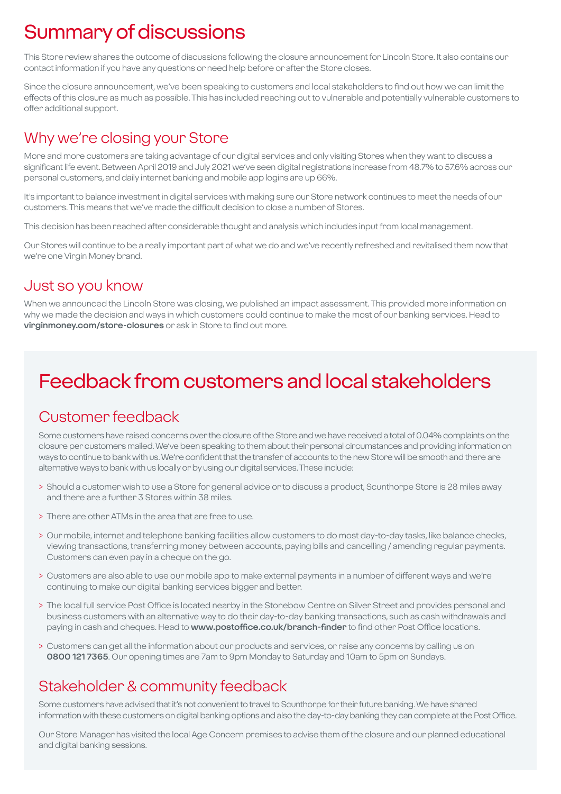# Summary of discussions

This Store review shares the outcome of discussions following the closure announcement for Lincoln Store. It also contains our contact information if you have any questions or need help before or after the Store closes.

Since the closure announcement, we've been speaking to customers and local stakeholders to find out how we can limit the effects of this closure as much as possible. This has included reaching out to vulnerable and potentially vulnerable customers to offer additional support.

### Why we're closing your Store

More and more customers are taking advantage of our digital services and only visiting Stores when they want to discuss a significant life event. Between April 2019 and July 2021 we've seen digital registrations increase from 48.7% to 57.6% across our personal customers, and daily internet banking and mobile app logins are up 66%.

It's important to balance investment in digital services with making sure our Store network continues to meet the needs of our customers. This means that we've made the difficult decision to close a number of Stores.

This decision has been reached after considerable thought and analysis which includes input from local management.

Our Stores will continue to be a really important part of what we do and we've recently refreshed and revitalised them now that we're one Virgin Money brand.

### Just so you know

When we announced the Lincoln Store was closing, we published an impact assessment. This provided more information on why we made the decision and ways in which customers could continue to make the most of our banking services. Head to **virginmoney.com/store-closures** or ask in Store to find out more.

# Feedback from customers and local stakeholders

### Customer feedback

Some customers have raised concerns over the closure of the Store and we have received a total of 0.04% complaints on the closure per customers mailed. We've been speaking to them about their personal circumstances and providing information on ways to continue to bank with us. We're confident that the transfer of accounts to the new Store will be smooth and there are alternative ways to bank with us locally or by using our digital services. These include:

- > Should a customer wish to use a Store for general advice or to discuss a product, Scunthorpe Store is 28 miles away and there are a further 3 Stores within 38 miles.
- > There are other ATMs in the area that are free to use.
- > Our mobile, internet and telephone banking facilities allow customers to do most day-to-day tasks, like balance checks, viewing transactions, transferring money between accounts, paying bills and cancelling / amending regular payments. Customers can even pay in a cheque on the go.
- > Customers are also able to use our mobile app to make external payments in a number of different ways and we're continuing to make our digital banking services bigger and better.
- > The local full service Post Office is located nearby in the Stonebow Centre on Silver Street and provides personal and business customers with an alternative way to do their day-to-day banking transactions, such as cash withdrawals and paying in cash and cheques. Head to **www.postoffice.co.uk/branch-finder** to find other Post Office locations.
- > Customers can get all the information about our products and services, or raise any concerns by calling us on **0800 121 7365**. Our opening times are 7am to 9pm Monday to Saturday and 10am to 5pm on Sundays.

### Stakeholder & community feedback

Some customers have advised that it's not convenient to travel to Scunthorpe for their future banking. We have shared information with these customers on digital banking options and also the day-to-day banking they can complete at the Post Office.

Our Store Manager has visited the local Age Concern premises to advise them of the closure and our planned educational and digital banking sessions.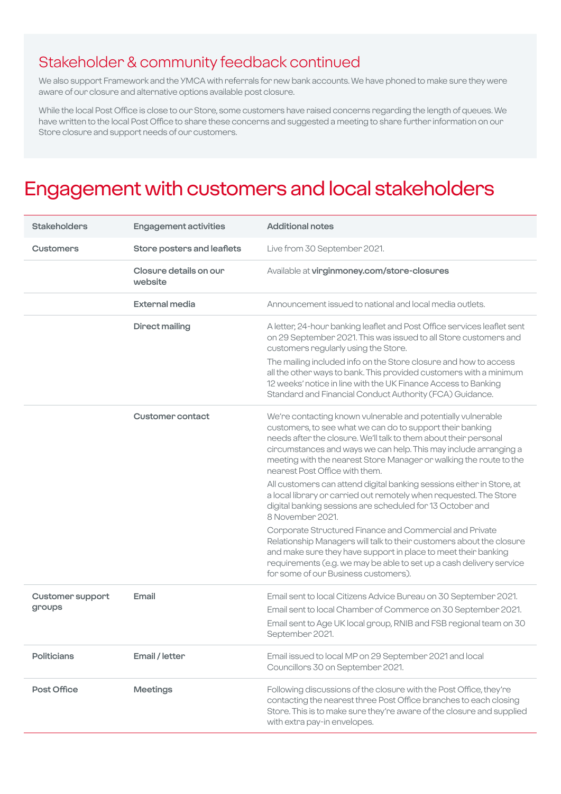### Stakeholder & community feedback continued

We also support Framework and the YMCA with referrals for new bank accounts. We have phoned to make sure they were aware of our closure and alternative options available post closure.

While the local Post Office is close to our Store, some customers have raised concerns regarding the length of queues. We have written to the local Post Office to share these concerns and suggested a meeting to share further information on our Store closure and support needs of our customers.

### Engagement with customers and local stakeholders

| <b>Stakeholders</b>               | <b>Engagement activities</b>      | <b>Additional notes</b>                                                                                                                                                                                                                                                                                                                                                   |
|-----------------------------------|-----------------------------------|---------------------------------------------------------------------------------------------------------------------------------------------------------------------------------------------------------------------------------------------------------------------------------------------------------------------------------------------------------------------------|
| <b>Customers</b>                  | Store posters and leaflets        | Live from 30 September 2021.                                                                                                                                                                                                                                                                                                                                              |
|                                   | Closure details on our<br>website | Available at virginmoney.com/store-closures                                                                                                                                                                                                                                                                                                                               |
|                                   | <b>External media</b>             | Announcement issued to national and local media outlets.                                                                                                                                                                                                                                                                                                                  |
|                                   | <b>Direct mailing</b>             | A letter, 24-hour banking leaflet and Post Office services leaflet sent<br>on 29 September 2021. This was issued to all Store customers and<br>customers regularly using the Store.                                                                                                                                                                                       |
|                                   |                                   | The mailing included info on the Store closure and how to access<br>all the other ways to bank. This provided customers with a minimum<br>12 weeks' notice in line with the UK Finance Access to Banking<br>Standard and Financial Conduct Authority (FCA) Guidance.                                                                                                      |
|                                   | <b>Customer contact</b>           | We're contacting known vulnerable and potentially vulnerable<br>customers, to see what we can do to support their banking<br>needs after the closure. We'll talk to them about their personal<br>circumstances and ways we can help. This may include arranging a<br>meeting with the nearest Store Manager or walking the route to the<br>nearest Post Office with them. |
|                                   |                                   | All customers can attend digital banking sessions either in Store, at<br>a local library or carried out remotely when requested. The Store<br>digital banking sessions are scheduled for 13 October and<br>8 November 2021.                                                                                                                                               |
|                                   |                                   | Corporate Structured Finance and Commercial and Private<br>Relationship Managers will talk to their customers about the closure<br>and make sure they have support in place to meet their banking<br>requirements (e.g. we may be able to set up a cash delivery service<br>for some of our Business customers).                                                          |
| <b>Customer support</b><br>groups | Email                             | Email sent to local Citizens Advice Bureau on 30 September 2021.<br>Email sent to local Chamber of Commerce on 30 September 2021.<br>Email sent to Age UK local group, RNIB and FSB regional team on 30<br>September 2021.                                                                                                                                                |
| <b>Politicians</b>                | Email / letter                    | Email issued to local MP on 29 September 2021 and local<br>Councillors 30 on September 2021.                                                                                                                                                                                                                                                                              |
| Post Office                       | <b>Meetings</b>                   | Following discussions of the closure with the Post Office, they're<br>contacting the nearest three Post Office branches to each closing<br>Store. This is to make sure they're aware of the closure and supplied<br>with extra pay-in envelopes.                                                                                                                          |